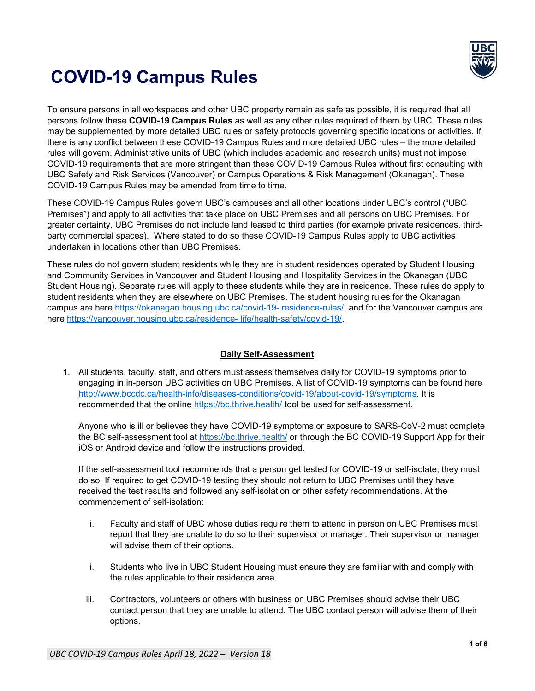

# **COVID-19 Campus Rules**

To ensure persons in all workspaces and other UBC property remain as safe as possible, it is required that all persons follow these **COVID-19 Campus Rules** as well as any other rules required of them by UBC. These rules may be supplemented by more detailed UBC rules or safety protocols governing specific locations or activities. If there is any conflict between these COVID-19 Campus Rules and more detailed UBC rules – the more detailed rules will govern. Administrative units of UBC (which includes academic and research units) must not impose COVID-19 requirements that are more stringent than these COVID-19 Campus Rules without first consulting with UBC Safety and Risk Services (Vancouver) or Campus Operations & Risk Management (Okanagan). These COVID-19 Campus Rules may be amended from time to time.

These COVID-19 Campus Rules govern UBC's campuses and all other locations under UBC's control ("UBC Premises") and apply to all activities that take place on UBC Premises and all persons on UBC Premises. For greater certainty, UBC Premises do not include land leased to third parties (for example private residences, thirdparty commercial spaces). Where stated to do so these COVID-19 Campus Rules apply to UBC activities undertaken in locations other than UBC Premises.

These rules do not govern student residents while they are in student residences operated by Student Housing and Community Services in Vancouver and Student Housing and Hospitality Services in the Okanagan (UBC Student Housing). Separate rules will apply to these students while they are in residence. These rules do apply to student residents when they are elsewhere on UBC Premises. The student housing rules for the Okanagan campus are here [https://okanagan.housing.ubc.ca/covid-19-](https://okanagan.housing.ubc.ca/covid-19-%20residence-rules/) residence-rules/, and for the Vancouver campus are here [https://vancouver.housing.ubc.ca/residence-](https://vancouver.housing.ubc.ca/residence-%20life/health-safety/covid-19/) life/health-safety/covid-19/.

## **Daily Self-Assessment**

1. All students, faculty, staff, and others must assess themselves daily for COVID-19 symptoms prior to engaging in in-person UBC activities on UBC Premises. A list of COVID-19 symptoms can be found here [http://www.bccdc.ca/health-info/diseases-conditions/covid-19/about-covid-19/symptoms.](http://www.bccdc.ca/health-info/diseases-conditions/covid-19/about-covid-19/symptoms) It is recommended that the online<https://bc.thrive.health/> tool be used for self-assessment.

Anyone who is ill or believes they have COVID-19 symptoms or exposure to SARS-CoV-2 must complete the BC self-assessment tool at<https://bc.thrive.health/> or through the BC COVID-19 Support App for their iOS or Android device and follow the instructions provided.

If the self-assessment tool recommends that a person get tested for COVID-19 or self-isolate, they must do so. If required to get COVID-19 testing they should not return to UBC Premises until they have received the test results and followed any self-isolation or other safety recommendations. At the commencement of self-isolation:

- i. Faculty and staff of UBC whose duties require them to attend in person on UBC Premises must report that they are unable to do so to their supervisor or manager. Their supervisor or manager will advise them of their options.
- ii. Students who live in UBC Student Housing must ensure they are familiar with and comply with the rules applicable to their residence area.
- iii. Contractors, volunteers or others with business on UBC Premises should advise their UBC contact person that they are unable to attend. The UBC contact person will advise them of their options.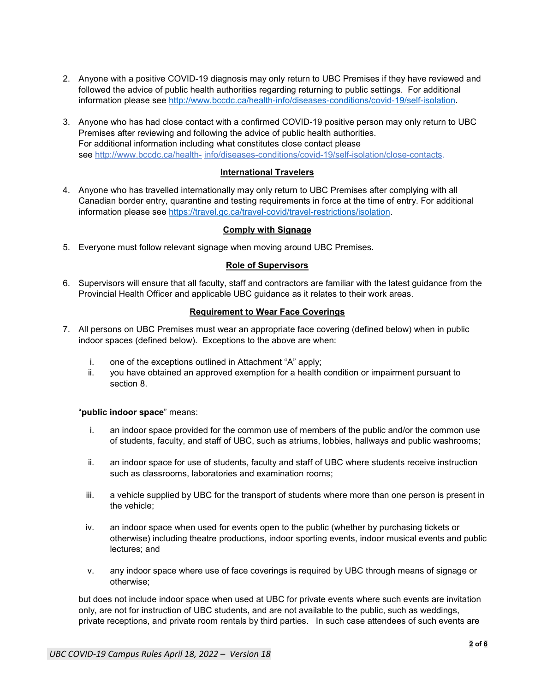- 2. Anyone with a positive COVID-19 diagnosis may only return to UBC Premises if they have reviewed and followed the advice of public health authorities regarding returning to public settings. For additional information please see [http://www.bccdc.ca/health-info/diseases-conditions/covid-19/self-isolation.](http://www.bccdc.ca/health-info/diseases-conditions/covid-19/self-isolation)
- 3. Anyone who has had close contact with a confirmed COVID-19 positive person may only return to UBC Premises after reviewing and following the advice of public health authorities. For additional information including what constitutes close contact please see [http://www.bccdc.ca/health-](http://www.bccdc.ca/health-info/diseases-conditions/covid-19/self-isolation/close-contacts) [info/diseases-conditions/covid-19/self-isolation/close-contacts.](http://www.bccdc.ca/health-info/diseases-conditions/covid-19/self-isolation/close-contacts)

#### **International Travelers**

4. Anyone who has travelled internationally may only return to UBC Premises after complying with all Canadian border entry, quarantine and testing requirements in force at the time of entry. For additional information please see [https://travel.gc.ca/travel-covid/travel-restrictions/isolation.](https://travel.gc.ca/travel-covid/travel-restrictions/isolation)

#### **Comply with Signage**

5. Everyone must follow relevant signage when moving around UBC Premises.

#### **Role of Supervisors**

6. Supervisors will ensure that all faculty, staff and contractors are familiar with the latest guidance from the Provincial Health Officer and applicable UBC guidance as it relates to their work areas.

# **Requirement to Wear Face Coverings**

- 7. All persons on UBC Premises must wear an appropriate face covering (defined below) when in public indoor spaces (defined below). Exceptions to the above are when:
	- i. one of the exceptions outlined in Attachment "A" apply;
	- ii. you have obtained an approved exemption for a health condition or impairment pursuant to section 8.

#### "**public indoor space**" means:

- i. an indoor space provided for the common use of members of the public and/or the common use of students, faculty, and staff of UBC, such as atriums, lobbies, hallways and public washrooms;
- ii. an indoor space for use of students, faculty and staff of UBC where students receive instruction such as classrooms, laboratories and examination rooms;
- iii. a vehicle supplied by UBC for the transport of students where more than one person is present in the vehicle;
- iv. an indoor space when used for events open to the public (whether by purchasing tickets or otherwise) including theatre productions, indoor sporting events, indoor musical events and public lectures; and
- v. any indoor space where use of face coverings is required by UBC through means of signage or otherwise;

but does not include indoor space when used at UBC for private events where such events are invitation only, are not for instruction of UBC students, and are not available to the public, such as weddings, private receptions, and private room rentals by third parties. In such case attendees of such events are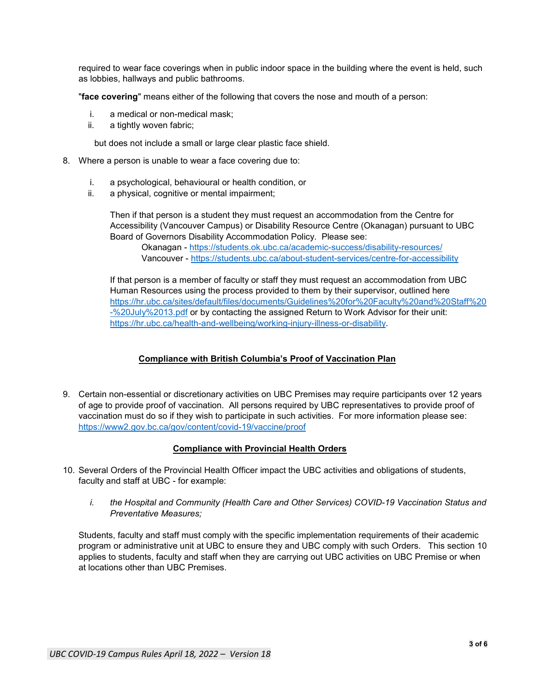required to wear face coverings when in public indoor space in the building where the event is held, such as lobbies, hallways and public bathrooms.

"**face covering**" means either of the following that covers the nose and mouth of a person:

- i. a medical or non-medical mask;
- ii. a tightly woven fabric;

but does not include a small or large clear plastic face shield.

- 8. Where a person is unable to wear a face covering due to:
	- i. a psychological, behavioural or health condition, or
	- ii. a physical, cognitive or mental impairment;

Then if that person is a student they must request an accommodation from the Centre for Accessibility (Vancouver Campus) or Disability Resource Centre (Okanagan) pursuant to UBC Board of Governors Disability Accommodation Policy. Please see:

Okanagan - <https://students.ok.ubc.ca/academic-success/disability-resources/> Vancouver - <https://students.ubc.ca/about-student-services/centre-for-accessibility>

If that person is a member of faculty or staff they must request an accommodation from UBC Human Resources using the process provided to them by their supervisor, outlined here [https://hr.ubc.ca/sites/default/files/documents/Guidelines%20for%20Faculty%20and%20Staff%20](https://hr.ubc.ca/sites/default/files/documents/Guidelines%20for%20Faculty%20and%20Staff%20-%20July%2013.pdf) [-%20July%2013.pdf](https://hr.ubc.ca/sites/default/files/documents/Guidelines%20for%20Faculty%20and%20Staff%20-%20July%2013.pdf) or by contacting the assigned Return to Work Advisor for their unit: [https://hr.ubc.ca/health-and-wellbeing/working-injury-illness-or-disability.](https://hr.ubc.ca/health-and-wellbeing/working-injury-illness-or-disability)

## **Compliance with British Columbia's Proof of Vaccination Plan**

9. Certain non-essential or discretionary activities on UBC Premises may require participants over 12 years of age to provide proof of vaccination. All persons required by UBC representatives to provide proof of vaccination must do so if they wish to participate in such activities. For more information please see: <https://www2.gov.bc.ca/gov/content/covid-19/vaccine/proof>

## **Compliance with Provincial Health Orders**

- 10. Several Orders of the Provincial Health Officer impact the UBC activities and obligations of students, faculty and staff at UBC - for example:
	- *i. the Hospital and Community (Health Care and Other Services) COVID-19 Vaccination Status and Preventative Measures;*

Students, faculty and staff must comply with the specific implementation requirements of their academic program or administrative unit at UBC to ensure they and UBC comply with such Orders. This section 10 applies to students, faculty and staff when they are carrying out UBC activities on UBC Premise or when at locations other than UBC Premises.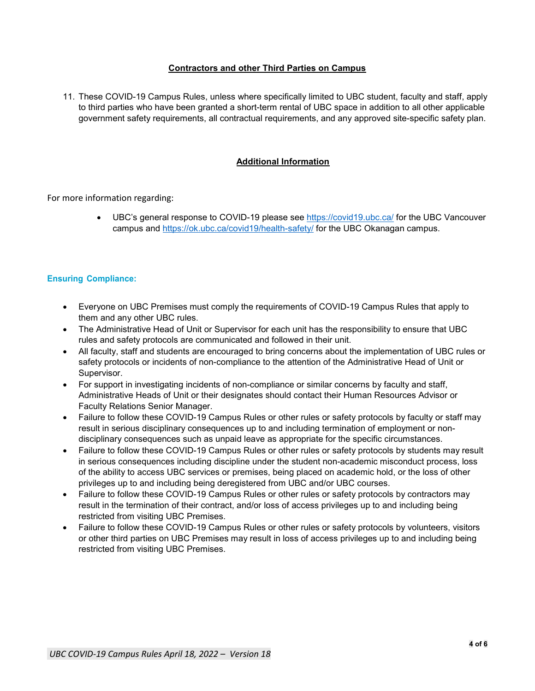# **Contractors and other Third Parties on Campus**

11. These COVID-19 Campus Rules, unless where specifically limited to UBC student, faculty and staff, apply to third parties who have been granted a short-term rental of UBC space in addition to all other applicable government safety requirements, all contractual requirements, and any approved site-specific safety plan.

# **Additional Information**

For more information regarding:

• UBC's general response to COVID-19 please see<https://covid19.ubc.ca/> for the UBC Vancouver campus and<https://ok.ubc.ca/covid19/health-safety/> for the UBC Okanagan campus.

## **Ensuring Compliance:**

- Everyone on UBC Premises must comply the requirements of COVID-19 Campus Rules that apply to them and any other UBC rules.
- The Administrative Head of Unit or Supervisor for each unit has the responsibility to ensure that UBC rules and safety protocols are communicated and followed in their unit.
- All faculty, staff and students are encouraged to bring concerns about the implementation of UBC rules or safety protocols or incidents of non-compliance to the attention of the Administrative Head of Unit or Supervisor.
- For support in investigating incidents of non-compliance or similar concerns by faculty and staff, Administrative Heads of Unit or their designates should contact their Human Resources Advisor or Faculty Relations Senior Manager.
- Failure to follow these COVID-19 Campus Rules or other rules or safety protocols by faculty or staff may result in serious disciplinary consequences up to and including termination of employment or nondisciplinary consequences such as unpaid leave as appropriate for the specific circumstances.
- Failure to follow these COVID-19 Campus Rules or other rules or safety protocols by students may result in serious consequences including discipline under the student non-academic misconduct process, loss of the ability to access UBC services or premises, being placed on academic hold, or the loss of other privileges up to and including being deregistered from UBC and/or UBC courses.
- Failure to follow these COVID-19 Campus Rules or other rules or safety protocols by contractors may result in the termination of their contract, and/or loss of access privileges up to and including being restricted from visiting UBC Premises.
- Failure to follow these COVID-19 Campus Rules or other rules or safety protocols by volunteers, visitors or other third parties on UBC Premises may result in loss of access privileges up to and including being restricted from visiting UBC Premises.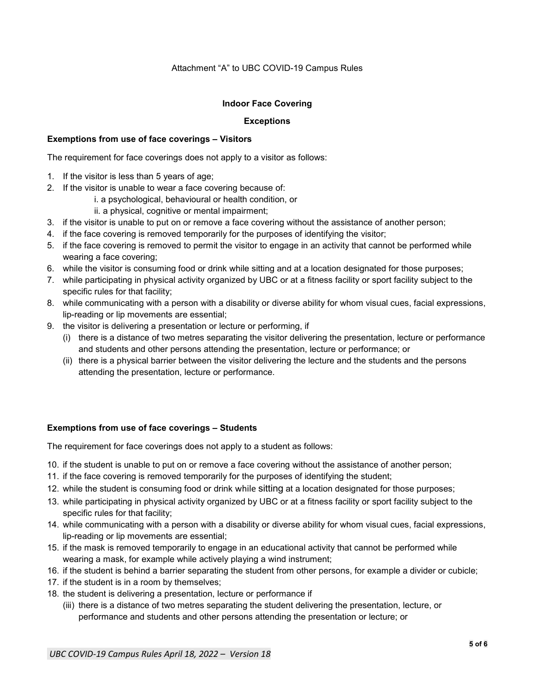#### Attachment "A" to UBC COVID-19 Campus Rules

#### **Indoor Face Covering**

#### **Exceptions**

#### **Exemptions from use of face coverings – Visitors**

The requirement for face coverings does not apply to a visitor as follows:

- 1. If the visitor is less than 5 years of age;
- 2. If the visitor is unable to wear a face covering because of:
	- i. a psychological, behavioural or health condition, or
	- ii. a physical, cognitive or mental impairment;
- 3. if the visitor is unable to put on or remove a face covering without the assistance of another person;
- 4. if the face covering is removed temporarily for the purposes of identifying the visitor;
- 5. if the face covering is removed to permit the visitor to engage in an activity that cannot be performed while wearing a face covering;
- 6. while the visitor is consuming food or drink while sitting and at a location designated for those purposes;
- 7. while participating in physical activity organized by UBC or at a fitness facility or sport facility subject to the specific rules for that facility;
- 8. while communicating with a person with a disability or diverse ability for whom visual cues, facial expressions, lip-reading or lip movements are essential;
- 9. the visitor is delivering a presentation or lecture or performing, if
	- (i) there is a distance of two metres separating the visitor delivering the presentation, lecture or performance and students and other persons attending the presentation, lecture or performance; or
	- (ii) there is a physical barrier between the visitor delivering the lecture and the students and the persons attending the presentation, lecture or performance.

#### **Exemptions from use of face coverings – Students**

The requirement for face coverings does not apply to a student as follows:

- 10. if the student is unable to put on or remove a face covering without the assistance of another person;
- 11. if the face covering is removed temporarily for the purposes of identifying the student;
- 12. while the student is consuming food or drink while sitting at a location designated for those purposes;
- 13. while participating in physical activity organized by UBC or at a fitness facility or sport facility subject to the specific rules for that facility;
- 14. while communicating with a person with a disability or diverse ability for whom visual cues, facial expressions, lip-reading or lip movements are essential;
- 15. if the mask is removed temporarily to engage in an educational activity that cannot be performed while wearing a mask, for example while actively playing a wind instrument;
- 16. if the student is behind a barrier separating the student from other persons, for example a divider or cubicle;
- 17. if the student is in a room by themselves;
- 18. the student is delivering a presentation, lecture or performance if
	- (iii) there is a distance of two metres separating the student delivering the presentation, lecture, or performance and students and other persons attending the presentation or lecture; or